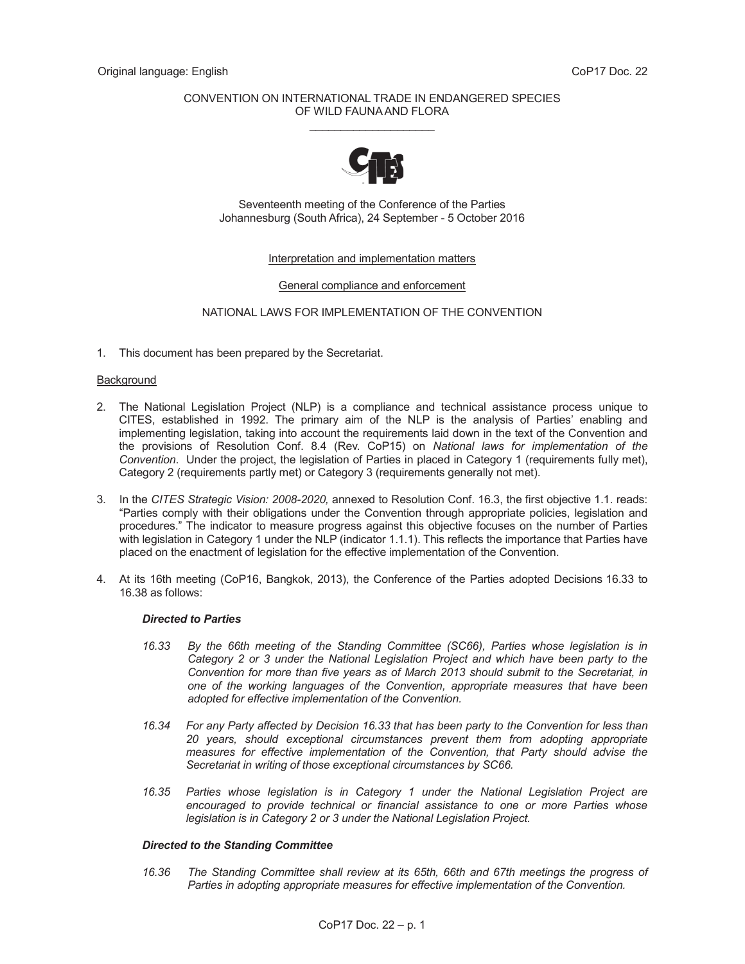# CONVENTION ON INTERNATIONAL TRADE IN ENDANGERED SPECIES OF WILD FAUNA AND FLORA \_\_\_\_\_\_\_\_\_\_\_\_\_\_\_\_\_\_\_\_



Seventeenth meeting of the Conference of the Parties Johannesburg (South Africa), 24 September - 5 October 2016

# Interpretation and implementation matters

#### General compliance and enforcement

# NATIONAL LAWS FOR IMPLEMENTATION OF THE CONVENTION

1. This document has been prepared by the Secretariat.

#### **Background**

- 2. The National Legislation Project (NLP) is a compliance and technical assistance process unique to CITES, established in 1992. The primary aim of the NLP is the analysis of Parties' enabling and implementing legislation, taking into account the requirements laid down in the text of the Convention and the provisions of Resolution Conf. 8.4 (Rev. CoP15) on *National laws for implementation of the Convention*. Under the project, the legislation of Parties in placed in Category 1 (requirements fully met), Category 2 (requirements partly met) or Category 3 (requirements generally not met).
- 3. In the *CITES Strategic Vision: 2008-2020,* annexed to Resolution Conf. 16.3, the first objective 1.1. reads: "Parties comply with their obligations under the Convention through appropriate policies, legislation and procedures." The indicator to measure progress against this objective focuses on the number of Parties with legislation in Category 1 under the NLP (indicator 1.1.1). This reflects the importance that Parties have placed on the enactment of legislation for the effective implementation of the Convention.
- 4. At its 16th meeting (CoP16, Bangkok, 2013), the Conference of the Parties adopted Decisions 16.33 to 16.38 as follows:

#### *Directed to Parties*

- *16.33 By the 66th meeting of the Standing Committee (SC66), Parties whose legislation is in Category 2 or 3 under the National Legislation Project and which have been party to the Convention for more than five years as of March 2013 should submit to the Secretariat, in one of the working languages of the Convention, appropriate measures that have been adopted for effective implementation of the Convention.*
- *16.34 For any Party affected by Decision 16.33 that has been party to the Convention for less than 20 years, should exceptional circumstances prevent them from adopting appropriate measures for effective implementation of the Convention, that Party should advise the Secretariat in writing of those exceptional circumstances by SC66.*
- *16.35 Parties whose legislation is in Category 1 under the National Legislation Project are encouraged to provide technical or financial assistance to one or more Parties whose legislation is in Category 2 or 3 under the National Legislation Project.*

#### *Directed to the Standing Committee*

 *16.36 The Standing Committee shall review at its 65th, 66th and 67th meetings the progress of Parties in adopting appropriate measures for effective implementation of the Convention.*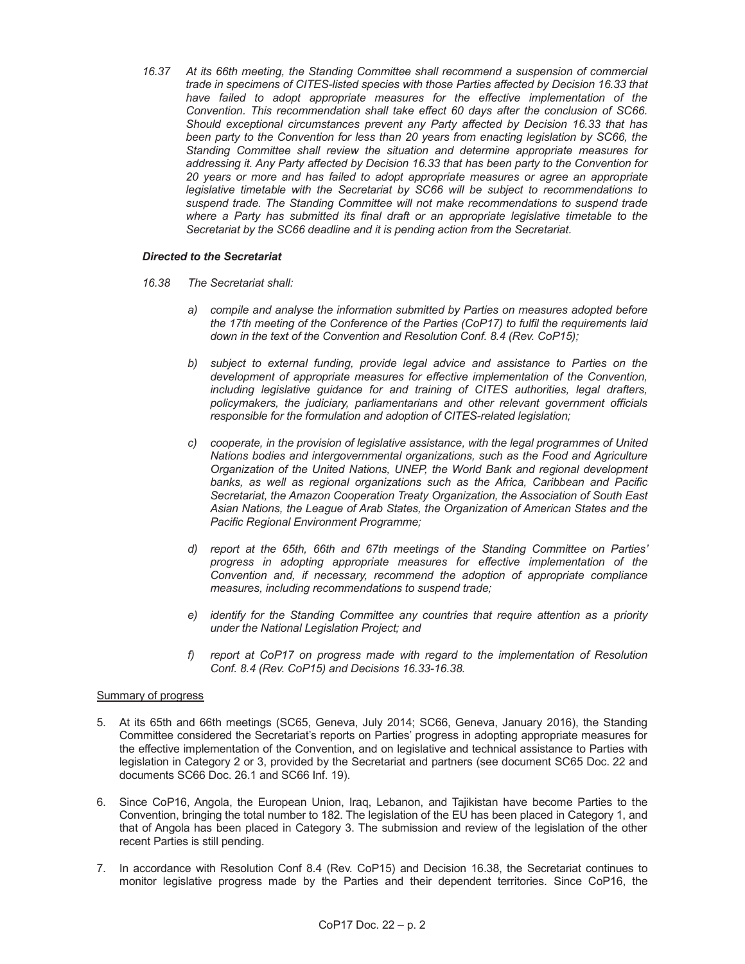*16.37 At its 66th meeting, the Standing Committee shall recommend a suspension of commercial trade in specimens of CITES-listed species with those Parties affected by Decision 16.33 that have failed to adopt appropriate measures for the effective implementation of the Convention. This recommendation shall take effect 60 days after the conclusion of SC66. Should exceptional circumstances prevent any Party affected by Decision 16.33 that has been party to the Convention for less than 20 years from enacting legislation by SC66, the Standing Committee shall review the situation and determine appropriate measures for addressing it. Any Party affected by Decision 16.33 that has been party to the Convention for 20 years or more and has failed to adopt appropriate measures or agree an appropriate legislative timetable with the Secretariat by SC66 will be subject to recommendations to suspend trade. The Standing Committee will not make recommendations to suspend trade where a Party has submitted its final draft or an appropriate legislative timetable to the Secretariat by the SC66 deadline and it is pending action from the Secretariat.* 

# *Directed to the Secretariat*

- *16.38 The Secretariat shall:* 
	- *a) compile and analyse the information submitted by Parties on measures adopted before the 17th meeting of the Conference of the Parties (CoP17) to fulfil the requirements laid down in the text of the Convention and Resolution Conf. 8.4 (Rev. CoP15);*
	- *b) subject to external funding, provide legal advice and assistance to Parties on the development of appropriate measures for effective implementation of the Convention, including legislative guidance for and training of CITES authorities, legal drafters, policymakers, the judiciary, parliamentarians and other relevant government officials responsible for the formulation and adoption of CITES-related legislation;*
	- *c) cooperate, in the provision of legislative assistance, with the legal programmes of United Nations bodies and intergovernmental organizations, such as the Food and Agriculture Organization of the United Nations, UNEP, the World Bank and regional development banks, as well as regional organizations such as the Africa, Caribbean and Pacific Secretariat, the Amazon Cooperation Treaty Organization, the Association of South East Asian Nations, the League of Arab States, the Organization of American States and the Pacific Regional Environment Programme;*
	- *d) report at the 65th, 66th and 67th meetings of the Standing Committee on Parties' progress in adopting appropriate measures for effective implementation of the Convention and, if necessary, recommend the adoption of appropriate compliance measures, including recommendations to suspend trade;*
	- *e) identify for the Standing Committee any countries that require attention as a priority under the National Legislation Project; and*
	- *f) report at CoP17 on progress made with regard to the implementation of Resolution Conf. 8.4 (Rev. CoP15) and Decisions 16.33-16.38.*

# Summary of progress

- 5. At its 65th and 66th meetings (SC65, Geneva, July 2014; SC66, Geneva, January 2016), the Standing Committee considered the Secretariat's reports on Parties' progress in adopting appropriate measures for the effective implementation of the Convention, and on legislative and technical assistance to Parties with legislation in Category 2 or 3, provided by the Secretariat and partners (see document SC65 Doc. 22 and documents SC66 Doc. 26.1 and SC66 Inf. 19).
- 6. Since CoP16, Angola, the European Union, Iraq, Lebanon, and Tajikistan have become Parties to the Convention, bringing the total number to 182. The legislation of the EU has been placed in Category 1, and that of Angola has been placed in Category 3. The submission and review of the legislation of the other recent Parties is still pending.
- 7. In accordance with Resolution Conf 8.4 (Rev. CoP15) and Decision 16.38, the Secretariat continues to monitor legislative progress made by the Parties and their dependent territories. Since CoP16, the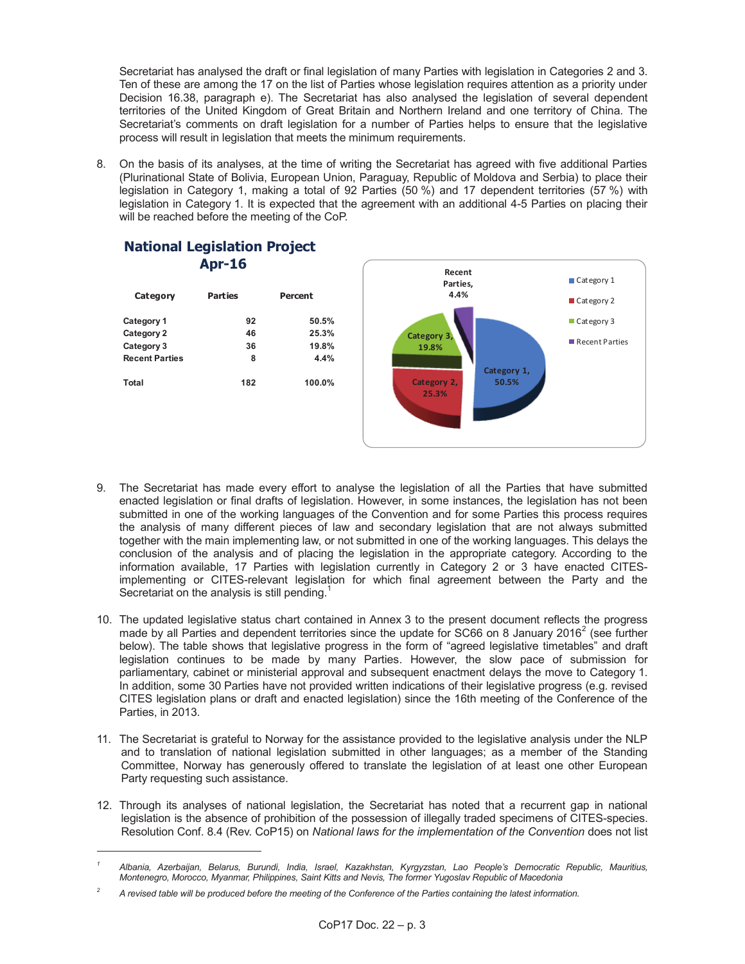Secretariat has analysed the draft or final legislation of many Parties with legislation in Categories 2 and 3. Ten of these are among the 17 on the list of Parties whose legislation requires attention as a priority under Decision 16.38, paragraph e). The Secretariat has also analysed the legislation of several dependent territories of the United Kingdom of Great Britain and Northern Ireland and one territory of China. The Secretariat's comments on draft legislation for a number of Parties helps to ensure that the legislative process will result in legislation that meets the minimum requirements.

8. On the basis of its analyses, at the time of writing the Secretariat has agreed with five additional Parties (Plurinational State of Bolivia, European Union, Paraguay, Republic of Moldova and Serbia) to place their legislation in Category 1, making a total of 92 Parties (50 %) and 17 dependent territories (57 %) with legislation in Category 1. It is expected that the agreement with an additional 4-5 Parties on placing their will be reached before the meeting of the CoP.



# **National Legislation Project Apr-16**

-

- 9. The Secretariat has made every effort to analyse the legislation of all the Parties that have submitted enacted legislation or final drafts of legislation. However, in some instances, the legislation has not been submitted in one of the working languages of the Convention and for some Parties this process requires the analysis of many different pieces of law and secondary legislation that are not always submitted together with the main implementing law, or not submitted in one of the working languages. This delays the conclusion of the analysis and of placing the legislation in the appropriate category. According to the information available, 17 Parties with legislation currently in Category 2 or 3 have enacted CITESimplementing or CITES-relevant legislation for which final agreement between the Party and the Secretariat on the analysis is still pending. $1$
- 10. The updated legislative status chart contained in Annex 3 to the present document reflects the progress made by all Parties and dependent territories since the update for SC66 on 8 January 2016<sup>2</sup> (see further below). The table shows that legislative progress in the form of "agreed legislative timetables" and draft legislation continues to be made by many Parties. However, the slow pace of submission for parliamentary, cabinet or ministerial approval and subsequent enactment delays the move to Category 1. In addition, some 30 Parties have not provided written indications of their legislative progress (e.g. revised CITES legislation plans or draft and enacted legislation) since the 16th meeting of the Conference of the Parties, in 2013.
- 11. The Secretariat is grateful to Norway for the assistance provided to the legislative analysis under the NLP and to translation of national legislation submitted in other languages; as a member of the Standing Committee, Norway has generously offered to translate the legislation of at least one other European Party requesting such assistance.
- 12. Through its analyses of national legislation, the Secretariat has noted that a recurrent gap in national legislation is the absence of prohibition of the possession of illegally traded specimens of CITES-species. Resolution Conf. 8.4 (Rev. CoP15) on *National laws for the implementation of the Convention* does not list

*<sup>1</sup> Albania, Azerbaijan, Belarus, Burundi, India, Israel, Kazakhstan, Kyrgyzstan, Lao People's Democratic Republic, Mauritius, Montenegro, Morocco, Myanmar, Philippines, Saint Kitts and Nevis, The former Yugoslav Republic of Macedonia* 

*<sup>2</sup> A revised table will be produced before the meeting of the Conference of the Parties containing the latest information.*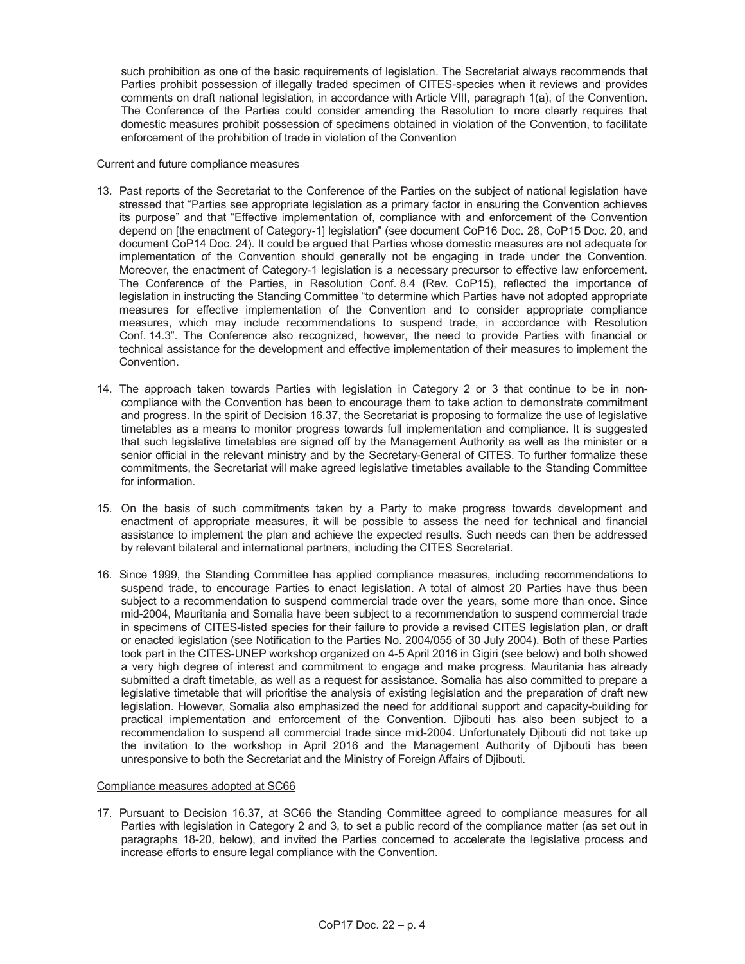such prohibition as one of the basic requirements of legislation. The Secretariat always recommends that Parties prohibit possession of illegally traded specimen of CITES-species when it reviews and provides comments on draft national legislation, in accordance with Article VIII, paragraph 1(a), of the Convention. The Conference of the Parties could consider amending the Resolution to more clearly requires that domestic measures prohibit possession of specimens obtained in violation of the Convention, to facilitate enforcement of the prohibition of trade in violation of the Convention

### Current and future compliance measures

- 13. Past reports of the Secretariat to the Conference of the Parties on the subject of national legislation have stressed that "Parties see appropriate legislation as a primary factor in ensuring the Convention achieves its purpose" and that "Effective implementation of, compliance with and enforcement of the Convention depend on [the enactment of Category-1] legislation" (see document CoP16 Doc. 28, CoP15 Doc. 20, and document CoP14 Doc. 24). It could be argued that Parties whose domestic measures are not adequate for implementation of the Convention should generally not be engaging in trade under the Convention. Moreover, the enactment of Category-1 legislation is a necessary precursor to effective law enforcement. The Conference of the Parties, in Resolution Conf. 8.4 (Rev. CoP15), reflected the importance of legislation in instructing the Standing Committee "to determine which Parties have not adopted appropriate measures for effective implementation of the Convention and to consider appropriate compliance measures, which may include recommendations to suspend trade, in accordance with Resolution Conf. 14.3". The Conference also recognized, however, the need to provide Parties with financial or technical assistance for the development and effective implementation of their measures to implement the Convention.
- 14. The approach taken towards Parties with legislation in Category 2 or 3 that continue to be in noncompliance with the Convention has been to encourage them to take action to demonstrate commitment and progress. In the spirit of Decision 16.37, the Secretariat is proposing to formalize the use of legislative timetables as a means to monitor progress towards full implementation and compliance. It is suggested that such legislative timetables are signed off by the Management Authority as well as the minister or a senior official in the relevant ministry and by the Secretary-General of CITES. To further formalize these commitments, the Secretariat will make agreed legislative timetables available to the Standing Committee for information.
- 15. On the basis of such commitments taken by a Party to make progress towards development and enactment of appropriate measures, it will be possible to assess the need for technical and financial assistance to implement the plan and achieve the expected results. Such needs can then be addressed by relevant bilateral and international partners, including the CITES Secretariat.
- 16. Since 1999, the Standing Committee has applied compliance measures, including recommendations to suspend trade, to encourage Parties to enact legislation. A total of almost 20 Parties have thus been subject to a recommendation to suspend commercial trade over the years, some more than once. Since mid-2004, Mauritania and Somalia have been subject to a recommendation to suspend commercial trade in specimens of CITES-listed species for their failure to provide a revised CITES legislation plan, or draft or enacted legislation (see Notification to the Parties No. 2004/055 of 30 July 2004). Both of these Parties took part in the CITES-UNEP workshop organized on 4-5 April 2016 in Gigiri (see below) and both showed a very high degree of interest and commitment to engage and make progress. Mauritania has already submitted a draft timetable, as well as a request for assistance. Somalia has also committed to prepare a legislative timetable that will prioritise the analysis of existing legislation and the preparation of draft new legislation. However, Somalia also emphasized the need for additional support and capacity-building for practical implementation and enforcement of the Convention. Djibouti has also been subject to a recommendation to suspend all commercial trade since mid-2004. Unfortunately Djibouti did not take up the invitation to the workshop in April 2016 and the Management Authority of Djibouti has been unresponsive to both the Secretariat and the Ministry of Foreign Affairs of Djibouti.

# Compliance measures adopted at SC66

17. Pursuant to Decision 16.37, at SC66 the Standing Committee agreed to compliance measures for all Parties with legislation in Category 2 and 3, to set a public record of the compliance matter (as set out in paragraphs 18-20, below), and invited the Parties concerned to accelerate the legislative process and increase efforts to ensure legal compliance with the Convention.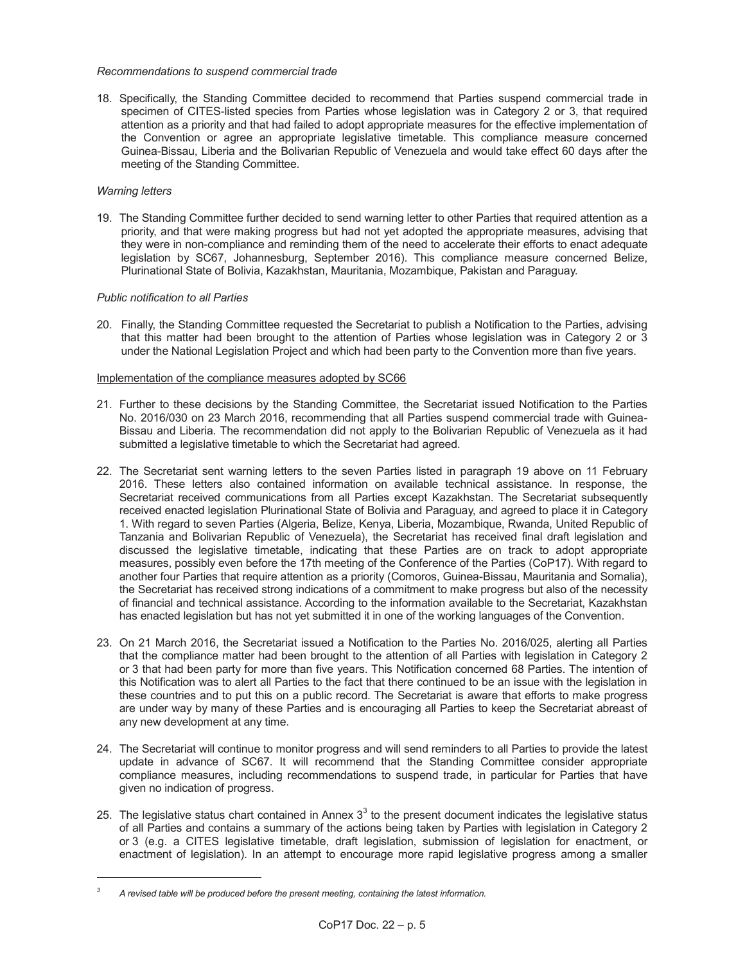# *Recommendations to suspend commercial trade*

18. Specifically, the Standing Committee decided to recommend that Parties suspend commercial trade in specimen of CITES-listed species from Parties whose legislation was in Category 2 or 3, that required attention as a priority and that had failed to adopt appropriate measures for the effective implementation of the Convention or agree an appropriate legislative timetable. This compliance measure concerned Guinea-Bissau, Liberia and the Bolivarian Republic of Venezuela and would take effect 60 days after the meeting of the Standing Committee.

# *Warning letters*

-

19. The Standing Committee further decided to send warning letter to other Parties that required attention as a priority, and that were making progress but had not yet adopted the appropriate measures, advising that they were in non-compliance and reminding them of the need to accelerate their efforts to enact adequate legislation by SC67, Johannesburg, September 2016). This compliance measure concerned Belize, Plurinational State of Bolivia, Kazakhstan, Mauritania, Mozambique, Pakistan and Paraguay.

# *Public notification to all Parties*

20. Finally, the Standing Committee requested the Secretariat to publish a Notification to the Parties, advising that this matter had been brought to the attention of Parties whose legislation was in Category 2 or 3 under the National Legislation Project and which had been party to the Convention more than five years.

# Implementation of the compliance measures adopted by SC66

- 21. Further to these decisions by the Standing Committee, the Secretariat issued Notification to the Parties No. 2016/030 on 23 March 2016, recommending that all Parties suspend commercial trade with Guinea-Bissau and Liberia. The recommendation did not apply to the Bolivarian Republic of Venezuela as it had submitted a legislative timetable to which the Secretariat had agreed.
- 22. The Secretariat sent warning letters to the seven Parties listed in paragraph 19 above on 11 February 2016. These letters also contained information on available technical assistance. In response, the Secretariat received communications from all Parties except Kazakhstan. The Secretariat subsequently received enacted legislation Plurinational State of Bolivia and Paraguay, and agreed to place it in Category 1. With regard to seven Parties (Algeria, Belize, Kenya, Liberia, Mozambique, Rwanda, United Republic of Tanzania and Bolivarian Republic of Venezuela), the Secretariat has received final draft legislation and discussed the legislative timetable, indicating that these Parties are on track to adopt appropriate measures, possibly even before the 17th meeting of the Conference of the Parties (CoP17). With regard to another four Parties that require attention as a priority (Comoros, Guinea-Bissau, Mauritania and Somalia), the Secretariat has received strong indications of a commitment to make progress but also of the necessity of financial and technical assistance. According to the information available to the Secretariat, Kazakhstan has enacted legislation but has not yet submitted it in one of the working languages of the Convention.
- 23. On 21 March 2016, the Secretariat issued a Notification to the Parties No. 2016/025, alerting all Parties that the compliance matter had been brought to the attention of all Parties with legislation in Category 2 or 3 that had been party for more than five years. This Notification concerned 68 Parties. The intention of this Notification was to alert all Parties to the fact that there continued to be an issue with the legislation in these countries and to put this on a public record. The Secretariat is aware that efforts to make progress are under way by many of these Parties and is encouraging all Parties to keep the Secretariat abreast of any new development at any time.
- 24. The Secretariat will continue to monitor progress and will send reminders to all Parties to provide the latest update in advance of SC67. It will recommend that the Standing Committee consider appropriate compliance measures, including recommendations to suspend trade, in particular for Parties that have given no indication of progress.
- 25. The legislative status chart contained in Annex  $3^3$  to the present document indicates the legislative status of all Parties and contains a summary of the actions being taken by Parties with legislation in Category 2 or 3 (e.g. a CITES legislative timetable, draft legislation, submission of legislation for enactment, or enactment of legislation). In an attempt to encourage more rapid legislative progress among a smaller

*<sup>3</sup> A revised table will be produced before the present meeting, containing the latest information.*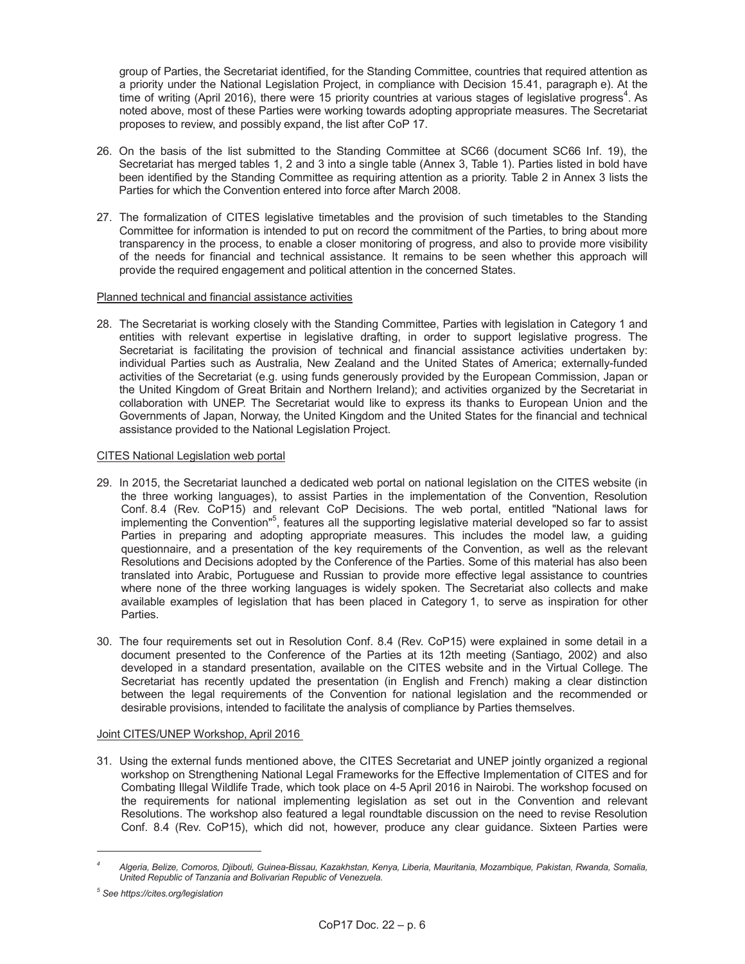group of Parties, the Secretariat identified, for the Standing Committee, countries that required attention as a priority under the National Legislation Project, in compliance with Decision 15.41, paragraph e). At the time of writing (April 2016), there were 15 priority countries at various stages of legislative progress<sup>4</sup>. As noted above, most of these Parties were working towards adopting appropriate measures. The Secretariat proposes to review, and possibly expand, the list after CoP 17.

- 26. On the basis of the list submitted to the Standing Committee at SC66 (document SC66 Inf. 19), the Secretariat has merged tables 1, 2 and 3 into a single table (Annex 3, Table 1). Parties listed in bold have been identified by the Standing Committee as requiring attention as a priority. Table 2 in Annex 3 lists the Parties for which the Convention entered into force after March 2008.
- 27. The formalization of CITES legislative timetables and the provision of such timetables to the Standing Committee for information is intended to put on record the commitment of the Parties, to bring about more transparency in the process, to enable a closer monitoring of progress, and also to provide more visibility of the needs for financial and technical assistance. It remains to be seen whether this approach will provide the required engagement and political attention in the concerned States.

# Planned technical and financial assistance activities

28. The Secretariat is working closely with the Standing Committee, Parties with legislation in Category 1 and entities with relevant expertise in legislative drafting, in order to support legislative progress. The Secretariat is facilitating the provision of technical and financial assistance activities undertaken by: individual Parties such as Australia, New Zealand and the United States of America; externally-funded activities of the Secretariat (e.g. using funds generously provided by the European Commission, Japan or the United Kingdom of Great Britain and Northern Ireland); and activities organized by the Secretariat in collaboration with UNEP. The Secretariat would like to express its thanks to European Union and the Governments of Japan, Norway, the United Kingdom and the United States for the financial and technical assistance provided to the National Legislation Project.

# CITES National Legislation web portal

- 29. In 2015, the Secretariat launched a dedicated web portal on national legislation on the CITES website (in the three working languages), to assist Parties in the implementation of the Convention, Resolution Conf. 8.4 (Rev. CoP15) and relevant CoP Decisions. The web portal, entitled "National laws for implementing the Convention"<sup>5</sup>, features all the supporting legislative material developed so far to assist Parties in preparing and adopting appropriate measures. This includes the model law, a guiding questionnaire, and a presentation of the key requirements of the Convention, as well as the relevant Resolutions and Decisions adopted by the Conference of the Parties. Some of this material has also been translated into Arabic, Portuguese and Russian to provide more effective legal assistance to countries where none of the three working languages is widely spoken. The Secretariat also collects and make available examples of legislation that has been placed in Category 1, to serve as inspiration for other Parties.
- 30. The four requirements set out in Resolution Conf. 8.4 (Rev. CoP15) were explained in some detail in a document presented to the Conference of the Parties at its 12th meeting (Santiago, 2002) and also developed in a standard presentation, available on the CITES website and in the Virtual College. The Secretariat has recently updated the presentation (in English and French) making a clear distinction between the legal requirements of the Convention for national legislation and the recommended or desirable provisions, intended to facilitate the analysis of compliance by Parties themselves.

# Joint CITES/UNEP Workshop, April 2016

31. Using the external funds mentioned above, the CITES Secretariat and UNEP jointly organized a regional workshop on Strengthening National Legal Frameworks for the Effective Implementation of CITES and for Combating Illegal Wildlife Trade, which took place on 4-5 April 2016 in Nairobi. The workshop focused on the requirements for national implementing legislation as set out in the Convention and relevant Resolutions. The workshop also featured a legal roundtable discussion on the need to revise Resolution Conf. 8.4 (Rev. CoP15), which did not, however, produce any clear guidance. Sixteen Parties were

-

*<sup>4</sup> Algeria, Belize, Comoros, Djibouti, Guinea-Bissau, Kazakhstan, Kenya, Liberia, Mauritania, Mozambique, Pakistan, Rwanda, Somalia, United Republic of Tanzania and Bolivarian Republic of Venezuela.* 

*<sup>5</sup> See https://cites.org/legislation*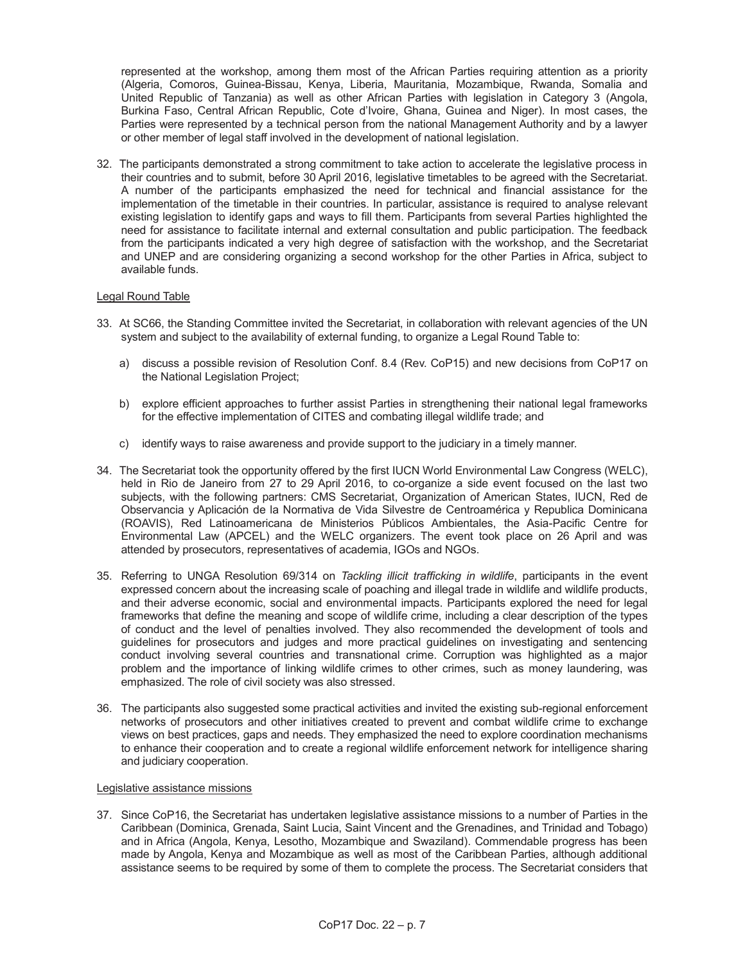represented at the workshop, among them most of the African Parties requiring attention as a priority (Algeria, Comoros, Guinea-Bissau, Kenya, Liberia, Mauritania, Mozambique, Rwanda, Somalia and United Republic of Tanzania) as well as other African Parties with legislation in Category 3 (Angola, Burkina Faso, Central African Republic, Cote d'Ivoire, Ghana, Guinea and Niger). In most cases, the Parties were represented by a technical person from the national Management Authority and by a lawyer or other member of legal staff involved in the development of national legislation.

32. The participants demonstrated a strong commitment to take action to accelerate the legislative process in their countries and to submit, before 30 April 2016, legislative timetables to be agreed with the Secretariat. A number of the participants emphasized the need for technical and financial assistance for the implementation of the timetable in their countries. In particular, assistance is required to analyse relevant existing legislation to identify gaps and ways to fill them. Participants from several Parties highlighted the need for assistance to facilitate internal and external consultation and public participation. The feedback from the participants indicated a very high degree of satisfaction with the workshop, and the Secretariat and UNEP and are considering organizing a second workshop for the other Parties in Africa, subject to available funds.

#### Legal Round Table

- 33. At SC66, the Standing Committee invited the Secretariat, in collaboration with relevant agencies of the UN system and subject to the availability of external funding, to organize a Legal Round Table to:
	- a) discuss a possible revision of Resolution Conf. 8.4 (Rev. CoP15) and new decisions from CoP17 on the National Legislation Project;
	- b) explore efficient approaches to further assist Parties in strengthening their national legal frameworks for the effective implementation of CITES and combating illegal wildlife trade; and
	- c) identify ways to raise awareness and provide support to the judiciary in a timely manner.
- 34. The Secretariat took the opportunity offered by the first IUCN World Environmental Law Congress (WELC), held in Rio de Janeiro from 27 to 29 April 2016, to co-organize a side event focused on the last two subjects, with the following partners: CMS Secretariat, Organization of American States, IUCN, Red de Observancia y Aplicación de la Normativa de Vida Silvestre de Centroamérica y Republica Dominicana (ROAVIS), Red Latinoamericana de Ministerios Públicos Ambientales, the Asia-Pacific Centre for Environmental Law (APCEL) and the WELC organizers. The event took place on 26 April and was attended by prosecutors, representatives of academia, IGOs and NGOs.
- 35. Referring to UNGA Resolution 69/314 on *Tackling illicit trafficking in wildlife*, participants in the event expressed concern about the increasing scale of poaching and illegal trade in wildlife and wildlife products, and their adverse economic, social and environmental impacts. Participants explored the need for legal frameworks that define the meaning and scope of wildlife crime, including a clear description of the types of conduct and the level of penalties involved. They also recommended the development of tools and guidelines for prosecutors and judges and more practical guidelines on investigating and sentencing conduct involving several countries and transnational crime. Corruption was highlighted as a major problem and the importance of linking wildlife crimes to other crimes, such as money laundering, was emphasized. The role of civil society was also stressed.
- 36. The participants also suggested some practical activities and invited the existing sub-regional enforcement networks of prosecutors and other initiatives created to prevent and combat wildlife crime to exchange views on best practices, gaps and needs. They emphasized the need to explore coordination mechanisms to enhance their cooperation and to create a regional wildlife enforcement network for intelligence sharing and judiciary cooperation.

#### Legislative assistance missions

37. Since CoP16, the Secretariat has undertaken legislative assistance missions to a number of Parties in the Caribbean (Dominica, Grenada, Saint Lucia, Saint Vincent and the Grenadines, and Trinidad and Tobago) and in Africa (Angola, Kenya, Lesotho, Mozambique and Swaziland). Commendable progress has been made by Angola, Kenya and Mozambique as well as most of the Caribbean Parties, although additional assistance seems to be required by some of them to complete the process. The Secretariat considers that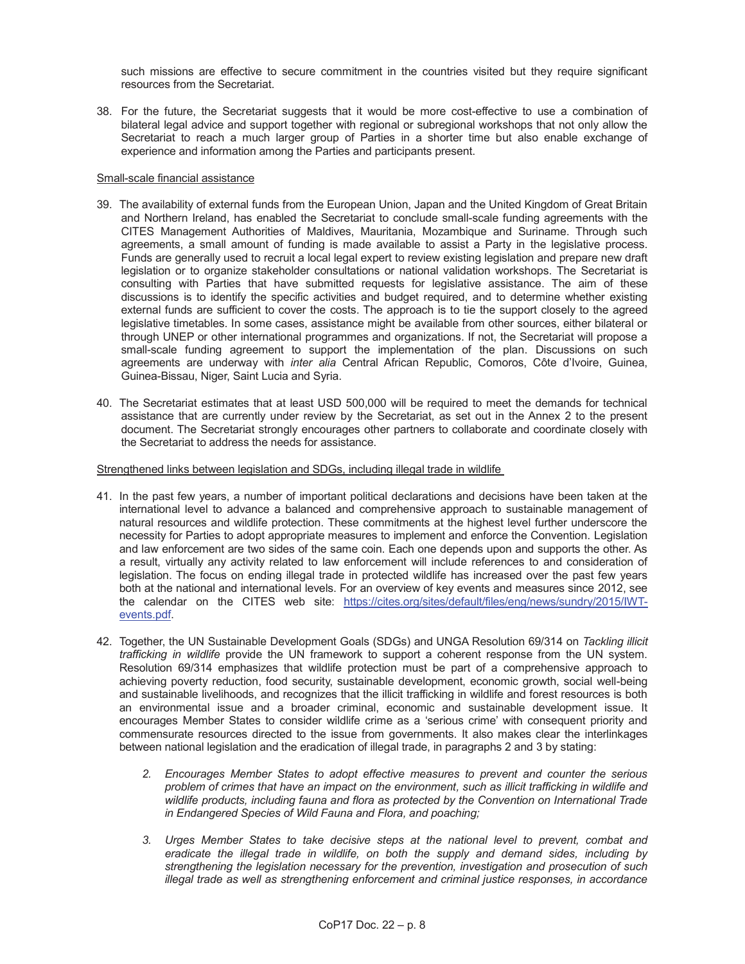such missions are effective to secure commitment in the countries visited but they require significant resources from the Secretariat.

38. For the future, the Secretariat suggests that it would be more cost-effective to use a combination of bilateral legal advice and support together with regional or subregional workshops that not only allow the Secretariat to reach a much larger group of Parties in a shorter time but also enable exchange of experience and information among the Parties and participants present.

# Small-scale financial assistance

- 39. The availability of external funds from the European Union, Japan and the United Kingdom of Great Britain and Northern Ireland, has enabled the Secretariat to conclude small-scale funding agreements with the CITES Management Authorities of Maldives, Mauritania, Mozambique and Suriname. Through such agreements, a small amount of funding is made available to assist a Party in the legislative process. Funds are generally used to recruit a local legal expert to review existing legislation and prepare new draft legislation or to organize stakeholder consultations or national validation workshops. The Secretariat is consulting with Parties that have submitted requests for legislative assistance. The aim of these discussions is to identify the specific activities and budget required, and to determine whether existing external funds are sufficient to cover the costs. The approach is to tie the support closely to the agreed legislative timetables. In some cases, assistance might be available from other sources, either bilateral or through UNEP or other international programmes and organizations. If not, the Secretariat will propose a small-scale funding agreement to support the implementation of the plan. Discussions on such agreements are underway with *inter alia* Central African Republic, Comoros, Côte d'Ivoire, Guinea, Guinea-Bissau, Niger, Saint Lucia and Syria.
- 40. The Secretariat estimates that at least USD 500,000 will be required to meet the demands for technical assistance that are currently under review by the Secretariat, as set out in the Annex 2 to the present document. The Secretariat strongly encourages other partners to collaborate and coordinate closely with the Secretariat to address the needs for assistance.

# Strengthened links between legislation and SDGs, including illegal trade in wildlife

- 41. In the past few years, a number of important political declarations and decisions have been taken at the international level to advance a balanced and comprehensive approach to sustainable management of natural resources and wildlife protection. These commitments at the highest level further underscore the necessity for Parties to adopt appropriate measures to implement and enforce the Convention. Legislation and law enforcement are two sides of the same coin. Each one depends upon and supports the other. As a result, virtually any activity related to law enforcement will include references to and consideration of legislation. The focus on ending illegal trade in protected wildlife has increased over the past few years both at the national and international levels. For an overview of key events and measures since 2012, see the calendar on the CITES web site: https://cites.org/sites/default/files/eng/news/sundry/2015/IWTevents.pdf.
- 42. Together, the UN Sustainable Development Goals (SDGs) and UNGA Resolution 69/314 on *Tackling illicit trafficking in wildlife* provide the UN framework to support a coherent response from the UN system. Resolution 69/314 emphasizes that wildlife protection must be part of a comprehensive approach to achieving poverty reduction, food security, sustainable development, economic growth, social well-being and sustainable livelihoods, and recognizes that the illicit trafficking in wildlife and forest resources is both an environmental issue and a broader criminal, economic and sustainable development issue. It encourages Member States to consider wildlife crime as a 'serious crime' with consequent priority and commensurate resources directed to the issue from governments. It also makes clear the interlinkages between national legislation and the eradication of illegal trade, in paragraphs 2 and 3 by stating:
	- *2. Encourages Member States to adopt effective measures to prevent and counter the serious problem of crimes that have an impact on the environment, such as illicit trafficking in wildlife and wildlife products, including fauna and flora as protected by the Convention on International Trade in Endangered Species of Wild Fauna and Flora, and poaching;*
	- *3. Urges Member States to take decisive steps at the national level to prevent, combat and eradicate the illegal trade in wildlife, on both the supply and demand sides, including by strengthening the legislation necessary for the prevention, investigation and prosecution of such illegal trade as well as strengthening enforcement and criminal justice responses, in accordance*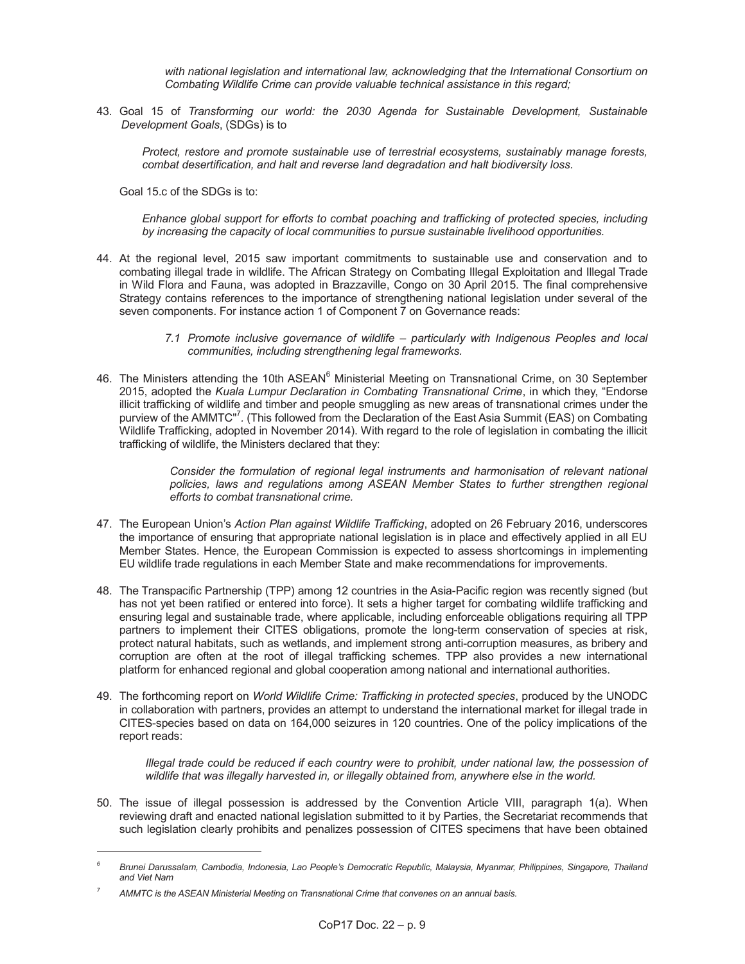*with national legislation and international law, acknowledging that the International Consortium on Combating Wildlife Crime can provide valuable technical assistance in this regard;* 

43. Goal 15 of *Transforming our world: the 2030 Agenda for Sustainable Development, Sustainable Development Goals*, (SDGs) is to

 *Protect, restore and promote sustainable use of terrestrial ecosystems, sustainably manage forests, combat desertification, and halt and reverse land degradation and halt biodiversity loss.* 

Goal 15.c of the SDGs is to:

 *Enhance global support for efforts to combat poaching and trafficking of protected species, including by increasing the capacity of local communities to pursue sustainable livelihood opportunities.* 

- 44. At the regional level, 2015 saw important commitments to sustainable use and conservation and to combating illegal trade in wildlife. The African Strategy on Combating Illegal Exploitation and Illegal Trade in Wild Flora and Fauna, was adopted in Brazzaville, Congo on 30 April 2015. The final comprehensive Strategy contains references to the importance of strengthening national legislation under several of the seven components. For instance action 1 of Component 7 on Governance reads:
	- *7.1 Promote inclusive governance of wildlife – particularly with Indigenous Peoples and local communities, including strengthening legal frameworks.*
- 46. The Ministers attending the 10th ASEAN $^6$  Ministerial Meeting on Transnational Crime, on 30 September 2015, adopted the *Kuala Lumpur Declaration in Combating Transnational Crime*, in which they, "Endorse illicit trafficking of wildlife and timber and people smuggling as new areas of transnational crimes under the purview of the AMMTC"<sup>7</sup>. (This followed from the Declaration of the East Asia Summit (EAS) on Combating Wildlife Trafficking, adopted in November 2014). With regard to the role of legislation in combating the illicit trafficking of wildlife, the Ministers declared that they:

 *Consider the formulation of regional legal instruments and harmonisation of relevant national*  policies, laws and regulations among ASEAN Member States to further strengthen regional *efforts to combat transnational crime.* 

- 47. The European Union's *Action Plan against Wildlife Trafficking*, adopted on 26 February 2016, underscores the importance of ensuring that appropriate national legislation is in place and effectively applied in all EU Member States. Hence, the European Commission is expected to assess shortcomings in implementing EU wildlife trade regulations in each Member State and make recommendations for improvements.
- 48. The Transpacific Partnership (TPP) among 12 countries in the Asia-Pacific region was recently signed (but has not yet been ratified or entered into force). It sets a higher target for combating wildlife trafficking and ensuring legal and sustainable trade, where applicable, including enforceable obligations requiring all TPP partners to implement their CITES obligations, promote the long-term conservation of species at risk, protect natural habitats, such as wetlands, and implement strong anti-corruption measures, as bribery and corruption are often at the root of illegal trafficking schemes. TPP also provides a new international platform for enhanced regional and global cooperation among national and international authorities.
- 49. The forthcoming report on *World Wildlife Crime: Trafficking in protected species*, produced by the UNODC in collaboration with partners, provides an attempt to understand the international market for illegal trade in CITES-species based on data on 164,000 seizures in 120 countries. One of the policy implications of the report reads:

*Illegal trade could be reduced if each country were to prohibit, under national law, the possession of wildlife that was illegally harvested in, or illegally obtained from, anywhere else in the world.* 

50. The issue of illegal possession is addressed by the Convention Article VIII, paragraph 1(a). When reviewing draft and enacted national legislation submitted to it by Parties, the Secretariat recommends that such legislation clearly prohibits and penalizes possession of CITES specimens that have been obtained

-

*<sup>6</sup> Brunei Darussalam, Cambodia, Indonesia, Lao People's Democratic Republic, Malaysia, Myanmar, Philippines, Singapore, Thailand and Viet Nam* 

*<sup>7</sup> AMMTC is the ASEAN Ministerial Meeting on Transnational Crime that convenes on an annual basis.*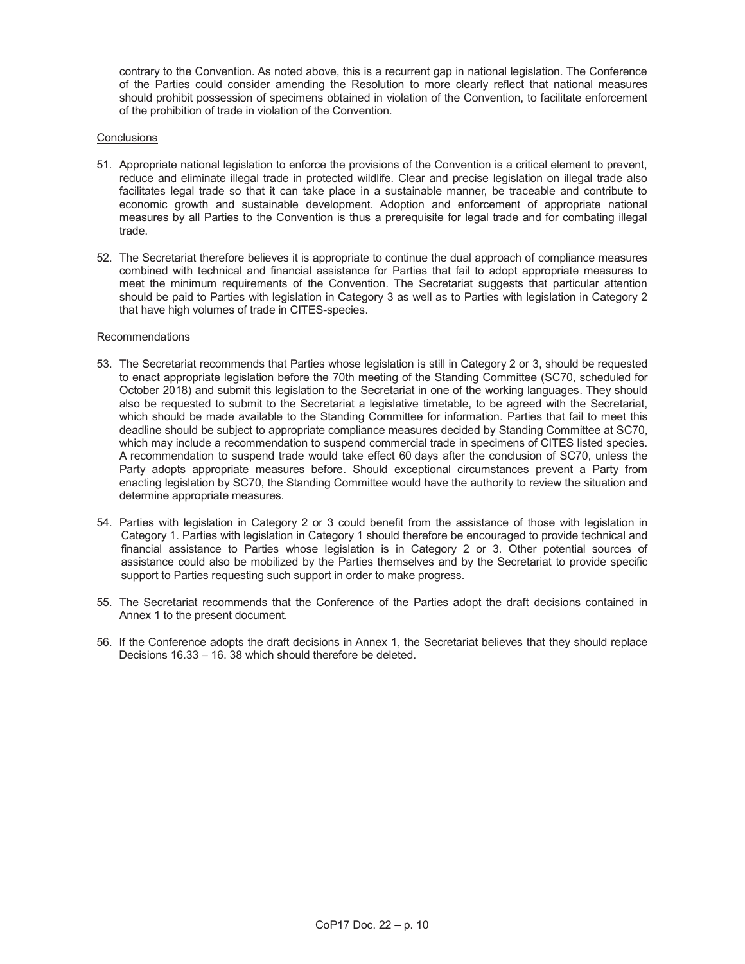contrary to the Convention. As noted above, this is a recurrent gap in national legislation. The Conference of the Parties could consider amending the Resolution to more clearly reflect that national measures should prohibit possession of specimens obtained in violation of the Convention, to facilitate enforcement of the prohibition of trade in violation of the Convention.

# **Conclusions**

- 51. Appropriate national legislation to enforce the provisions of the Convention is a critical element to prevent, reduce and eliminate illegal trade in protected wildlife. Clear and precise legislation on illegal trade also facilitates legal trade so that it can take place in a sustainable manner, be traceable and contribute to economic growth and sustainable development. Adoption and enforcement of appropriate national measures by all Parties to the Convention is thus a prerequisite for legal trade and for combating illegal trade.
- 52. The Secretariat therefore believes it is appropriate to continue the dual approach of compliance measures combined with technical and financial assistance for Parties that fail to adopt appropriate measures to meet the minimum requirements of the Convention. The Secretariat suggests that particular attention should be paid to Parties with legislation in Category 3 as well as to Parties with legislation in Category 2 that have high volumes of trade in CITES-species.

# Recommendations

- 53. The Secretariat recommends that Parties whose legislation is still in Category 2 or 3, should be requested to enact appropriate legislation before the 70th meeting of the Standing Committee (SC70, scheduled for October 2018) and submit this legislation to the Secretariat in one of the working languages. They should also be requested to submit to the Secretariat a legislative timetable, to be agreed with the Secretariat, which should be made available to the Standing Committee for information. Parties that fail to meet this deadline should be subject to appropriate compliance measures decided by Standing Committee at SC70, which may include a recommendation to suspend commercial trade in specimens of CITES listed species. A recommendation to suspend trade would take effect 60 days after the conclusion of SC70, unless the Party adopts appropriate measures before. Should exceptional circumstances prevent a Party from enacting legislation by SC70, the Standing Committee would have the authority to review the situation and determine appropriate measures.
- 54. Parties with legislation in Category 2 or 3 could benefit from the assistance of those with legislation in Category 1. Parties with legislation in Category 1 should therefore be encouraged to provide technical and financial assistance to Parties whose legislation is in Category 2 or 3. Other potential sources of assistance could also be mobilized by the Parties themselves and by the Secretariat to provide specific support to Parties requesting such support in order to make progress.
- 55. The Secretariat recommends that the Conference of the Parties adopt the draft decisions contained in Annex 1 to the present document.
- 56. If the Conference adopts the draft decisions in Annex 1, the Secretariat believes that they should replace Decisions 16.33 – 16. 38 which should therefore be deleted.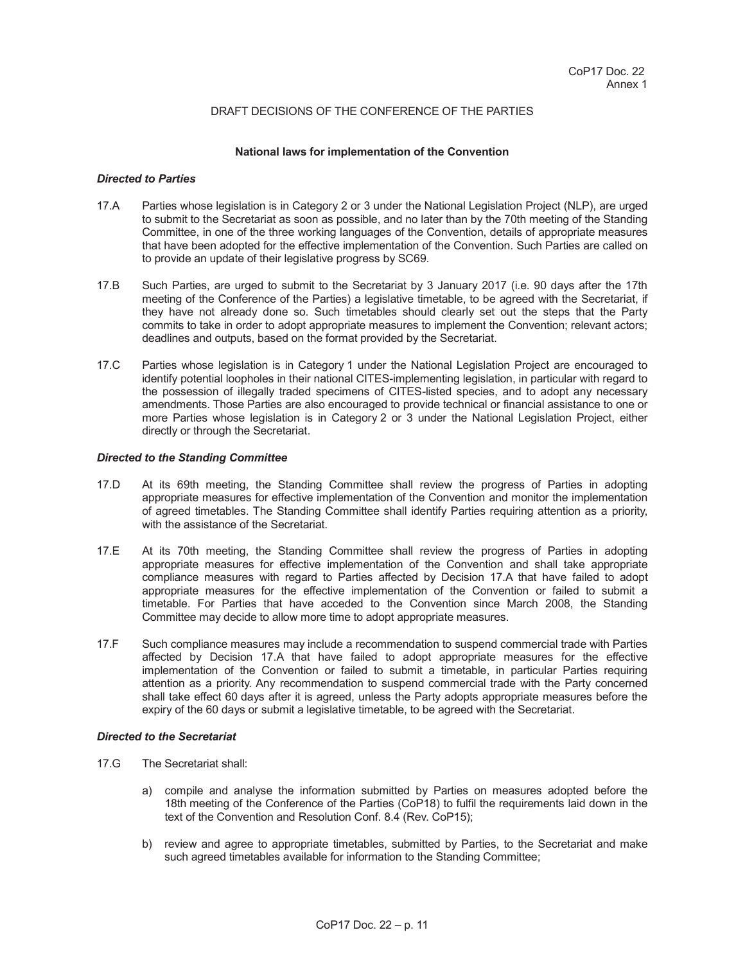### DRAFT DECISIONS OF THE CONFERENCE OF THE PARTIES

#### **National laws for implementation of the Convention**

## *Directed to Parties*

- 17.A Parties whose legislation is in Category 2 or 3 under the National Legislation Project (NLP), are urged to submit to the Secretariat as soon as possible, and no later than by the 70th meeting of the Standing Committee, in one of the three working languages of the Convention, details of appropriate measures that have been adopted for the effective implementation of the Convention. Such Parties are called on to provide an update of their legislative progress by SC69.
- 17.B Such Parties, are urged to submit to the Secretariat by 3 January 2017 (i.e. 90 days after the 17th meeting of the Conference of the Parties) a legislative timetable, to be agreed with the Secretariat, if they have not already done so. Such timetables should clearly set out the steps that the Party commits to take in order to adopt appropriate measures to implement the Convention; relevant actors; deadlines and outputs, based on the format provided by the Secretariat.
- 17.C Parties whose legislation is in Category 1 under the National Legislation Project are encouraged to identify potential loopholes in their national CITES-implementing legislation, in particular with regard to the possession of illegally traded specimens of CITES-listed species, and to adopt any necessary amendments. Those Parties are also encouraged to provide technical or financial assistance to one or more Parties whose legislation is in Category 2 or 3 under the National Legislation Project, either directly or through the Secretariat.

# *Directed to the Standing Committee*

- 17.D At its 69th meeting, the Standing Committee shall review the progress of Parties in adopting appropriate measures for effective implementation of the Convention and monitor the implementation of agreed timetables. The Standing Committee shall identify Parties requiring attention as a priority, with the assistance of the Secretariat.
- 17.E At its 70th meeting, the Standing Committee shall review the progress of Parties in adopting appropriate measures for effective implementation of the Convention and shall take appropriate compliance measures with regard to Parties affected by Decision 17.A that have failed to adopt appropriate measures for the effective implementation of the Convention or failed to submit a timetable. For Parties that have acceded to the Convention since March 2008, the Standing Committee may decide to allow more time to adopt appropriate measures.
- 17.F Such compliance measures may include a recommendation to suspend commercial trade with Parties affected by Decision 17.A that have failed to adopt appropriate measures for the effective implementation of the Convention or failed to submit a timetable, in particular Parties requiring attention as a priority. Any recommendation to suspend commercial trade with the Party concerned shall take effect 60 days after it is agreed, unless the Party adopts appropriate measures before the expiry of the 60 days or submit a legislative timetable, to be agreed with the Secretariat.

# *Directed to the Secretariat*

- 17.G The Secretariat shall:
	- a) compile and analyse the information submitted by Parties on measures adopted before the 18th meeting of the Conference of the Parties (CoP18) to fulfil the requirements laid down in the text of the Convention and Resolution Conf. 8.4 (Rev. CoP15);
	- b) review and agree to appropriate timetables, submitted by Parties, to the Secretariat and make such agreed timetables available for information to the Standing Committee;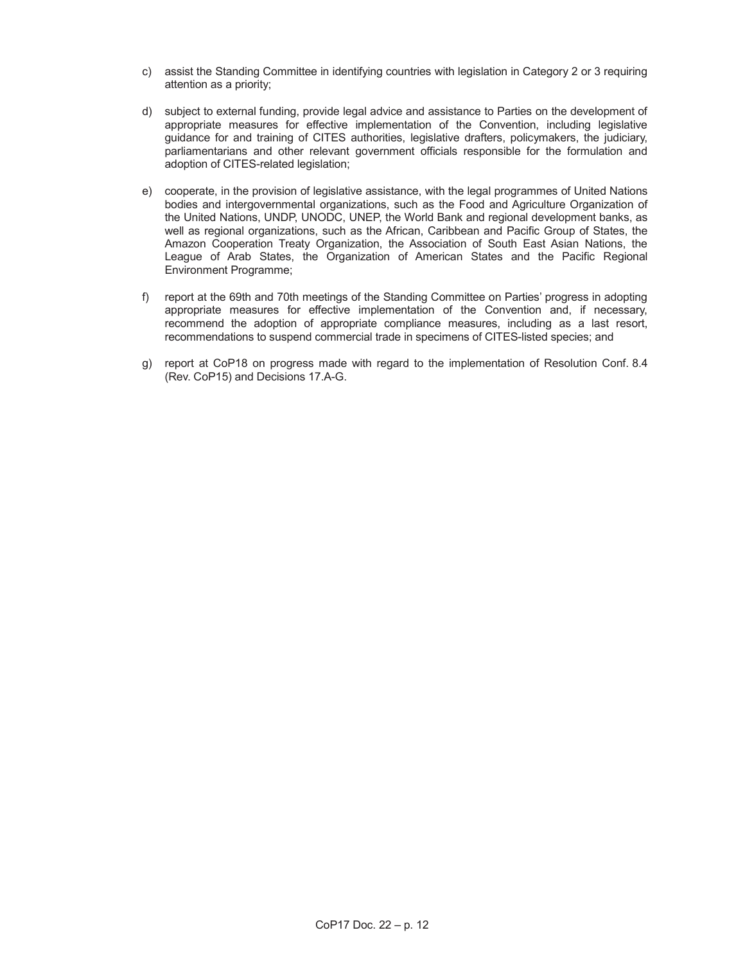- c) assist the Standing Committee in identifying countries with legislation in Category 2 or 3 requiring attention as a priority;
- d) subject to external funding, provide legal advice and assistance to Parties on the development of appropriate measures for effective implementation of the Convention, including legislative guidance for and training of CITES authorities, legislative drafters, policymakers, the judiciary, parliamentarians and other relevant government officials responsible for the formulation and adoption of CITES-related legislation;
- e) cooperate, in the provision of legislative assistance, with the legal programmes of United Nations bodies and intergovernmental organizations, such as the Food and Agriculture Organization of the United Nations, UNDP, UNODC, UNEP, the World Bank and regional development banks, as well as regional organizations, such as the African, Caribbean and Pacific Group of States, the Amazon Cooperation Treaty Organization, the Association of South East Asian Nations, the League of Arab States, the Organization of American States and the Pacific Regional Environment Programme;
- f) report at the 69th and 70th meetings of the Standing Committee on Parties' progress in adopting appropriate measures for effective implementation of the Convention and, if necessary, recommend the adoption of appropriate compliance measures, including as a last resort, recommendations to suspend commercial trade in specimens of CITES-listed species; and
- g) report at CoP18 on progress made with regard to the implementation of Resolution Conf. 8.4 (Rev. CoP15) and Decisions 17.A-G.